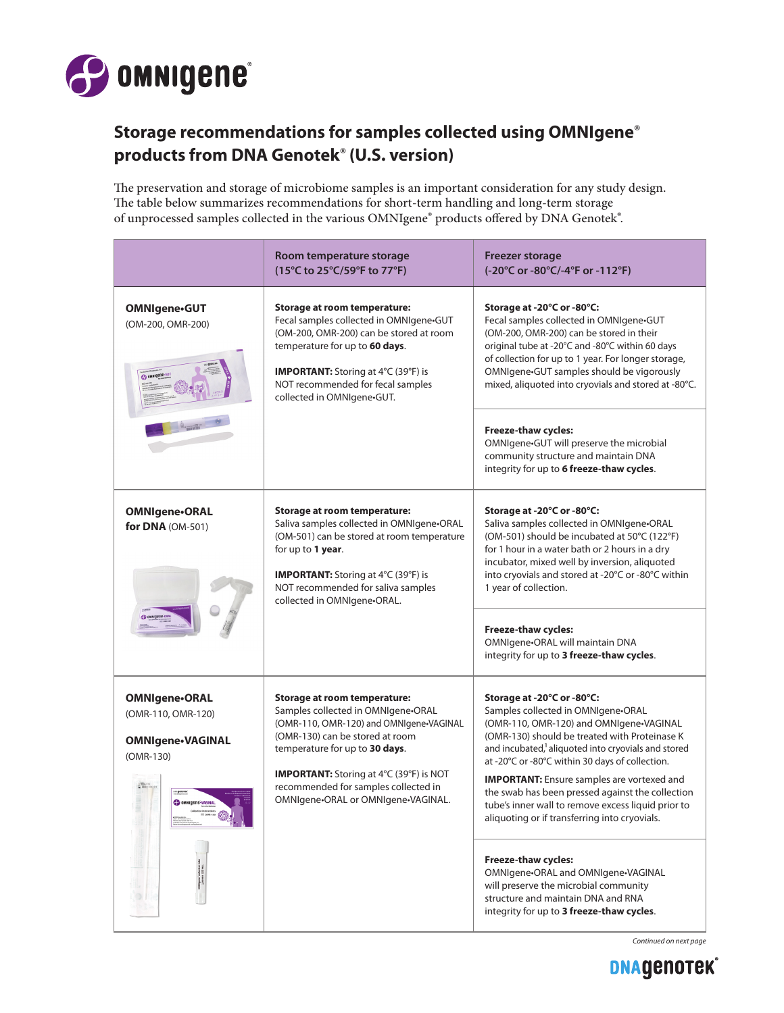

## **Storage recommendations for samples collected using OMNIgene**® **products from DNA Genotek**® **(U.S. version)**

The preservation and storage of microbiome samples is an important consideration for any study design. The table below summarizes recommendations for short-term handling and long-term storage of unprocessed samples collected in the various OMNIgene® products offered by DNA Genotek®.

|                                                                                                 | Room temperature storage<br>(15°C to 25°C/59°F to 77°F)                                                                                                                                                                                                                                                                   | <b>Freezer storage</b><br>(-20°C or -80°C/-4°F or -112°F)                                                                                                                                                                                                                                                                                                                                                                                                                                          |
|-------------------------------------------------------------------------------------------------|---------------------------------------------------------------------------------------------------------------------------------------------------------------------------------------------------------------------------------------------------------------------------------------------------------------------------|----------------------------------------------------------------------------------------------------------------------------------------------------------------------------------------------------------------------------------------------------------------------------------------------------------------------------------------------------------------------------------------------------------------------------------------------------------------------------------------------------|
| <b>OMNIgene-GUT</b><br>(OM-200, OMR-200)                                                        | <b>Storage at room temperature:</b><br>Fecal samples collected in OMNIgene.GUT<br>(OM-200, OMR-200) can be stored at room<br>temperature for up to 60 days.<br><b>IMPORTANT:</b> Storing at 4°C (39°F) is<br>NOT recommended for fecal samples<br>collected in OMNIgene.GUT.                                              | Storage at -20°C or -80°C:<br>Fecal samples collected in OMNIgene.GUT<br>(OM-200, OMR-200) can be stored in their<br>original tube at -20°C and -80°C within 60 days<br>of collection for up to 1 year. For longer storage,<br>OMNIgene.GUT samples should be vigorously<br>mixed, aliquoted into cryovials and stored at -80°C.                                                                                                                                                                   |
|                                                                                                 |                                                                                                                                                                                                                                                                                                                           | Freeze-thaw cycles:<br>OMNIgene-GUT will preserve the microbial<br>community structure and maintain DNA<br>integrity for up to 6 freeze-thaw cycles.                                                                                                                                                                                                                                                                                                                                               |
| <b>OMNIgene-ORAL</b><br>for DNA (OM-501)                                                        | Storage at room temperature:<br>Saliva samples collected in OMNIgene.ORAL<br>(OM-501) can be stored at room temperature<br>for up to 1 year.<br><b>IMPORTANT:</b> Storing at 4°C (39°F) is<br>NOT recommended for saliva samples<br>collected in OMNIgene•ORAL.                                                           | Storage at -20°C or -80°C:<br>Saliva samples collected in OMNIgene.ORAL<br>(OM-501) should be incubated at 50°C (122°F)<br>for 1 hour in a water bath or 2 hours in a dry<br>incubator, mixed well by inversion, aliquoted<br>into cryovials and stored at -20°C or -80°C within<br>1 year of collection.                                                                                                                                                                                          |
|                                                                                                 |                                                                                                                                                                                                                                                                                                                           | <b>Freeze-thaw cycles:</b><br>OMNIgene-ORAL will maintain DNA<br>integrity for up to 3 freeze-thaw cycles.                                                                                                                                                                                                                                                                                                                                                                                         |
| OMNIgene-ORAL<br>(OMR-110, OMR-120)<br><b>OMNIgene-VAGINAL</b><br>(OMR-130)<br>OMNIGERE-VAGINAL | <b>Storage at room temperature:</b><br>Samples collected in OMNIgene•ORAL<br>(OMR-110, OMR-120) and OMNIgene.VAGINAL<br>(OMR-130) can be stored at room<br>temperature for up to 30 days.<br><b>IMPORTANT:</b> Storing at 4°C (39°F) is NOT<br>recommended for samples collected in<br>OMNIgene-ORAL or OMNIgene-VAGINAL. | Storage at -20°C or -80°C:<br>Samples collected in OMNIgene•ORAL<br>(OMR-110, OMR-120) and OMNIgene•VAGINAL<br>(OMR-130) should be treated with Proteinase K<br>and incubated, <sup>1</sup> aliquoted into cryovials and stored<br>at -20°C or -80°C within 30 days of collection.<br><b>IMPORTANT:</b> Ensure samples are vortexed and<br>the swab has been pressed against the collection<br>tube's inner wall to remove excess liquid prior to<br>aliquoting or if transferring into cryovials. |
|                                                                                                 |                                                                                                                                                                                                                                                                                                                           | Freeze-thaw cycles:<br>OMNIgene-ORAL and OMNIgene-VAGINAL<br>will preserve the microbial community<br>structure and maintain DNA and RNA<br>integrity for up to 3 freeze-thaw cycles.                                                                                                                                                                                                                                                                                                              |

*Continued on next page*